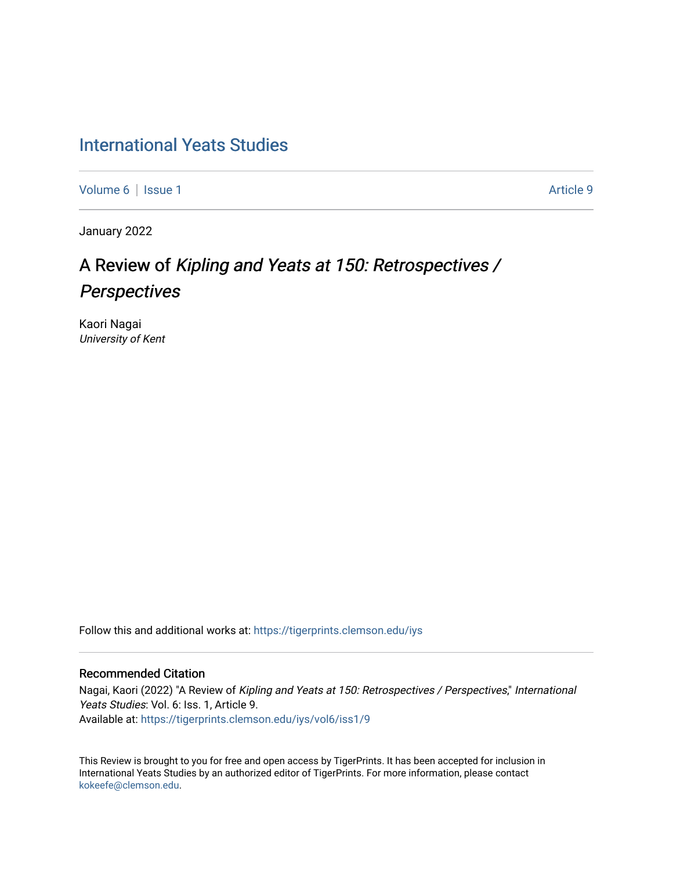# [International Yeats Studies](https://tigerprints.clemson.edu/iys)

[Volume 6](https://tigerprints.clemson.edu/iys/vol6) | [Issue 1](https://tigerprints.clemson.edu/iys/vol6/iss1) Article 9

January 2022

# A Review of Kipling and Yeats at 150: Retrospectives / **Perspectives**

Kaori Nagai University of Kent

Follow this and additional works at: [https://tigerprints.clemson.edu/iys](https://tigerprints.clemson.edu/iys?utm_source=tigerprints.clemson.edu%2Fiys%2Fvol6%2Fiss1%2F9&utm_medium=PDF&utm_campaign=PDFCoverPages) 

#### Recommended Citation

Nagai, Kaori (2022) "A Review of Kipling and Yeats at 150: Retrospectives / Perspectives," International Yeats Studies: Vol. 6: Iss. 1, Article 9. Available at: [https://tigerprints.clemson.edu/iys/vol6/iss1/9](https://tigerprints.clemson.edu/iys/vol6/iss1/9?utm_source=tigerprints.clemson.edu%2Fiys%2Fvol6%2Fiss1%2F9&utm_medium=PDF&utm_campaign=PDFCoverPages) 

This Review is brought to you for free and open access by TigerPrints. It has been accepted for inclusion in International Yeats Studies by an authorized editor of TigerPrints. For more information, please contact [kokeefe@clemson.edu](mailto:kokeefe@clemson.edu).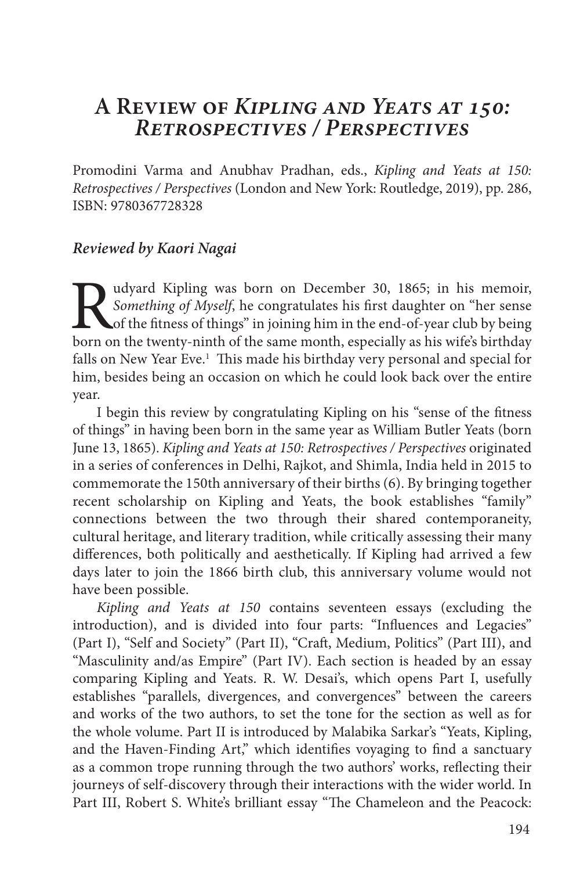## **A Review of** *Kipling and Yeats at 150: Retrospectives / Perspectives*

Promodini Varma and Anubhav Pradhan, eds., *Kipling and Yeats at 150: Retrospectives / Perspectives* (London and New York: Routledge, 2019), pp. 286, ISBN: 9780367728328

### *Reviewed by Kaori Nagai*

Rudyard Kipling was born on December 30, 1865; in his memoir, *Something of Myself*, he congratulates his first daughter on "her sense of the fitness of things" in joining him in the end-of-year club by being born on the t *Something of Myself*, he congratulates his first daughter on "her sense of the fitness of things" in joining him in the end-of-year club by being born on the twenty-ninth of the same month, especially as his wife's birthday falls on New Year Eve.<sup>1</sup> This made his birthday very personal and special for him, besides being an occasion on which he could look back over the entire year.

I begin this review by congratulating Kipling on his "sense of the fitness of things" in having been born in the same year as William Butler Yeats (born June 13, 1865). *Kipling and Yeats at 150: Retrospectives / Perspectives* originated in a series of conferences in Delhi, Rajkot, and Shimla, India held in 2015 to commemorate the 150th anniversary of their births (6). By bringing together recent scholarship on Kipling and Yeats, the book establishes "family" connections between the two through their shared contemporaneity, cultural heritage, and literary tradition, while critically assessing their many differences, both politically and aesthetically. If Kipling had arrived a few days later to join the 1866 birth club, this anniversary volume would not have been possible.

*Kipling and Yeats at 150* contains seventeen essays (excluding the introduction), and is divided into four parts: "Influences and Legacies" (Part I), "Self and Society" (Part II), "Craft, Medium, Politics" (Part III), and "Masculinity and/as Empire" (Part IV). Each section is headed by an essay comparing Kipling and Yeats. R. W. Desai's, which opens Part I, usefully establishes "parallels, divergences, and convergences" between the careers and works of the two authors, to set the tone for the section as well as for the whole volume. Part II is introduced by Malabika Sarkar's "Yeats, Kipling, and the Haven-Finding Art," which identifies voyaging to find a sanctuary as a common trope running through the two authors' works, reflecting their journeys of self-discovery through their interactions with the wider world. In Part III, Robert S. White's brilliant essay "The Chameleon and the Peacock: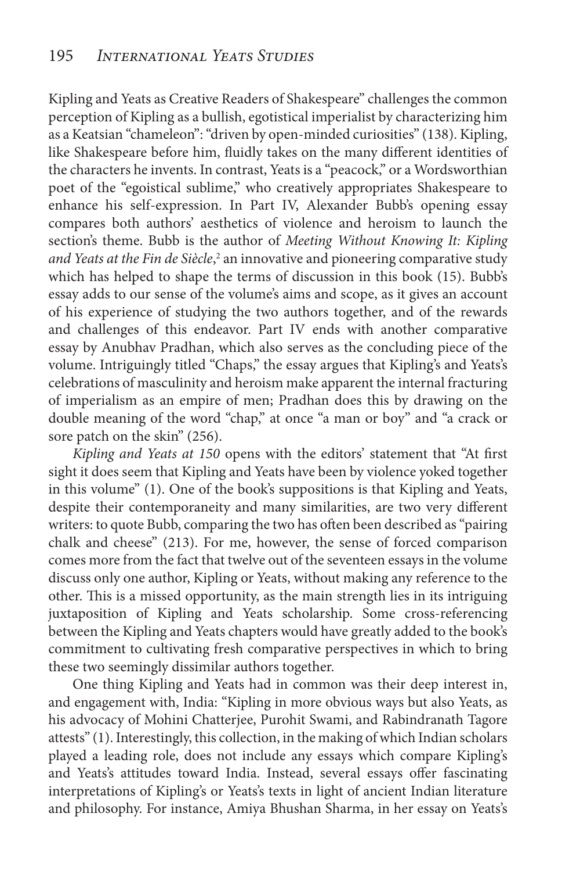Kipling and Yeats as Creative Readers of Shakespeare" challenges the common perception of Kipling as a bullish, egotistical imperialist by characterizing him as a Keatsian "chameleon": "driven by open-minded curiosities" (138). Kipling, like Shakespeare before him, fluidly takes on the many different identities of the characters he invents. In contrast, Yeats is a "peacock," or a Wordsworthian poet of the "egoistical sublime," who creatively appropriates Shakespeare to enhance his self-expression. In Part IV, Alexander Bubb's opening essay compares both authors' aesthetics of violence and heroism to launch the section's theme. Bubb is the author of *Meeting Without Knowing It: Kipling*  and Yeats at the Fin de Siècle,<sup>2</sup> an innovative and pioneering comparative study which has helped to shape the terms of discussion in this book (15). Bubb's essay adds to our sense of the volume's aims and scope, as it gives an account of his experience of studying the two authors together, and of the rewards and challenges of this endeavor. Part IV ends with another comparative essay by Anubhav Pradhan, which also serves as the concluding piece of the volume. Intriguingly titled "Chaps," the essay argues that Kipling's and Yeats's celebrations of masculinity and heroism make apparent the internal fracturing of imperialism as an empire of men; Pradhan does this by drawing on the double meaning of the word "chap," at once "a man or boy" and "a crack or sore patch on the skin" (256).

*Kipling and Yeats at 150* opens with the editors' statement that "At first sight it does seem that Kipling and Yeats have been by violence yoked together in this volume" (1). One of the book's suppositions is that Kipling and Yeats, despite their contemporaneity and many similarities, are two very different writers: to quote Bubb, comparing the two has often been described as "pairing chalk and cheese" (213). For me, however, the sense of forced comparison comes more from the fact that twelve out of the seventeen essays in the volume discuss only one author, Kipling or Yeats, without making any reference to the other. This is a missed opportunity, as the main strength lies in its intriguing juxtaposition of Kipling and Yeats scholarship. Some cross-referencing between the Kipling and Yeats chapters would have greatly added to the book's commitment to cultivating fresh comparative perspectives in which to bring these two seemingly dissimilar authors together.

One thing Kipling and Yeats had in common was their deep interest in, and engagement with, India: "Kipling in more obvious ways but also Yeats, as his advocacy of Mohini Chatterjee, Purohit Swami, and Rabindranath Tagore attests" (1). Interestingly, this collection, in the making of which Indian scholars played a leading role, does not include any essays which compare Kipling's and Yeats's attitudes toward India. Instead, several essays offer fascinating interpretations of Kipling's or Yeats's texts in light of ancient Indian literature and philosophy. For instance, Amiya Bhushan Sharma, in her essay on Yeats's